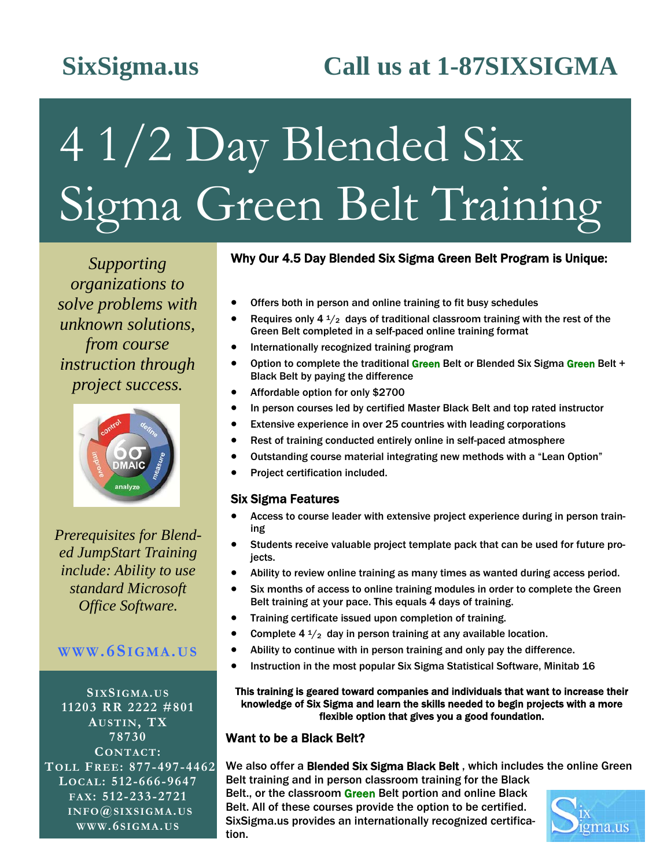# **SixSigma.us Call us at 1-87SIXSIGMA**

# 4 1/2 Day Blended Six Sigma Green Belt Training

*Supporting organizations to solve problems with unknown solutions, from course instruction through project success.* 



*Prerequisites for Blended JumpStart Training include: Ability to use standard Microsoft Office Software.* 

### **WWW.6SIGMA.US**

**SIXSIGMA.US 11203 RR 2222 #801 AUSTIN, TX 78730 CONTACT: TOLL FREE: 877-497-4462 LOCAL: 512-666-9647 FAX: 512-233-2721 INFO@SIXSIGMA.US WWW.6 SIGMA.US**

### Why Our 4.5 Day Blended Six Sigma Green Belt Program is Unique:

- Offers both in person and online training to fit busy schedules
- Requires only 4  $\frac{1}{2}$  days of traditional classroom training with the rest of the Green Belt completed in a self-paced online training format
- Internationally recognized training program
- Option to complete the traditional Green Belt or Blended Six Sigma Green Belt + Black Belt by paying the difference
- Affordable option for only \$2700
- In person courses led by certified Master Black Belt and top rated instructor
- Extensive experience in over 25 countries with leading corporations
- Rest of training conducted entirely online in self-paced atmosphere
- Outstanding course material integrating new methods with a "Lean Option"
- Project certification included.

### Six Sigma Features

- Access to course leader with extensive project experience during in person training
- Students receive valuable project template pack that can be used for future projects.
- Ability to review online training as many times as wanted during access period.
- Six months of access to online training modules in order to complete the Green Belt training at your pace. This equals 4 days of training.
- Training certificate issued upon completion of training.
- Complete  $4\frac{1}{2}$  day in person training at any available location.
- Ability to continue with in person training and only pay the difference.
- Instruction in the most popular Six Sigma Statistical Software, Minitab 16

### This training is geared toward companies and individuals that want to increase their knowledge of Six Sigma and learn the skills needed to begin projects with a more flexible option that gives you a good foundation.

### Want to be a Black Belt?

We also offer a Blended Six Sigma Black Belt, which includes the online Green Belt training and in person classroom training for the Black

Belt., or the classroom Green Belt portion and online Black Belt. All of these courses provide the option to be certified. SixSigma.us provides an internationally recognized certification.

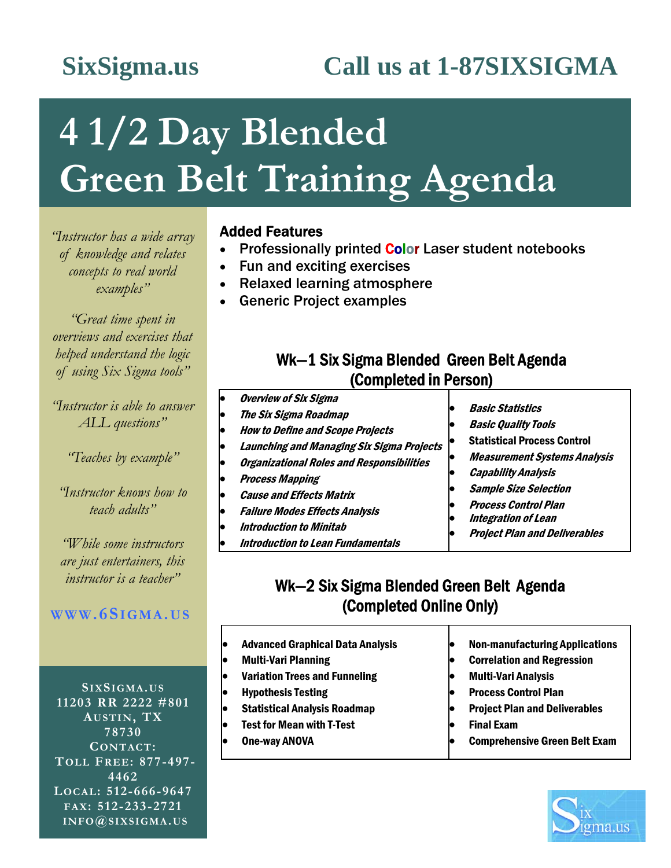## **SixSigma.us Call us at 1-87SIXSIGMA**

# **4 1/2 Day Blended Green Belt Training Agenda**

*"Instructor has a wide array of knowledge and relates concepts to real world examples"* 

*"Great time spent in overviews and exercises that helped understand the logic of using Six Sigma tools"* 

*"Instructor is able to answer ALL questions"* 

*"Teaches by example"* 

*"Instructor knows how to teach adults"* 

*"While some instructors are just entertainers, this instructor is a teacher"* 

### **WWW.6SIGMA.US**

**SIXSIGMA.US 11203 RR 2222 #801 AUSTIN, TX 78730 CONTACT: TOLL FREE: 877-497- 4462 LOCAL: 512-666-9647 FAX: 512-233-2721 INFO@SIXSIGMA.US** 

### Added Features

- Professionally printed **Color** Laser student notebooks
- Fun and exciting exercises
- Relaxed learning atmosphere
- Generic Project examples

### Wk—1 Six Sigma Blended Green Belt Agenda (Completed in Person)

- Overview of Six Sigma
- The Six Sigma Roadmap
- How to Define and Scope Projects
- Launching and Managing Six Sigma Projects
- Organizational Roles and Responsibilities
- Process Mapping
- Cause and Effects Matrix
- Failure Modes Effects Analysis
- Introduction to Minitab
- Introduction to Lean Fundamentals
- Basic Statistics
- Basic Quality Tools
- Statistical Process Control
- Measurement Systems Analysis
- Capability Analysis
- Sample Size Selection
- Process Control Plan
- Integration of Lean
- Project Plan and Deliverables

## Wk—2 Six Sigma Blended Green Belt Agenda (Completed Online Only)

- Advanced Graphical Data Analysis
- Multi-Vari Planning
- Variation Trees and Funneling
- Hypothesis Testing
- Statistical Analysis Roadmap
- Test for Mean with T-Test
- One-way ANOVA
- Non-manufacturing Applications
- Correlation and Regression
- Multi-Vari Analysis
- Process Control Plan
- Project Plan and Deliverables
- Final Exam
	- Comprehensive Green Belt Exam